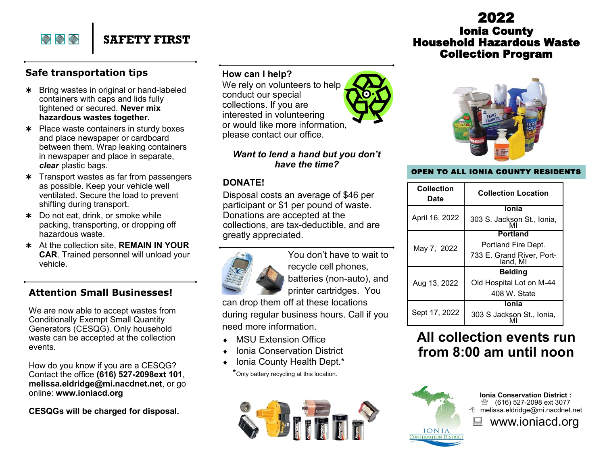# 2022 Ionia County Household Hazardous Waste Collection Program



#### OPEN TO ALL IONIA COUNTY RESIDENTS

|  | <b>Collection</b><br>Date | <b>Collection Location</b>            |
|--|---------------------------|---------------------------------------|
|  | April 16, 2022            | <b>Ionia</b>                          |
|  |                           | 303 S. Jackson St., Ionia,            |
|  | May 7, 2022               | Portland                              |
|  |                           | Portland Fire Dept.                   |
|  |                           | 733 E. Grand River, Port-<br>land, MI |
|  | Aug 13, 2022              | <b>Belding</b>                        |
|  |                           | Old Hospital Lot on M-44              |
|  |                           | 408 W. State                          |
|  | Sept 17, 2022             | <b>Ionia</b>                          |
|  |                           | 303 S Jackson St., Ionia,             |

# **All collection events run from 8:00 am until noon**



**Ionia Conservation District :**  <sup>®</sup> (616) 527-2098 ext 3077 melissa.eldridge@mi.nacdnet.net ■ www.ioniacd.org

**How can I help?**

We rely on volunteers to help conduct our special collections. If you are interested in volunteering or would like more information, please contact our office.

#### *Want to lend a hand but you don't have the time?*

#### **DONATE!**

Disposal costs an average of \$46 per participant or \$1 per pound of waste. Donations are accepted at the collections, are tax-deductible, and are greatly appreciated.



You don't have to wait to recycle cell phones, batteries (non-auto), and printer cartridges. You

can drop them off at these locations during regular business hours. Call if you need more information.

- MSU Extension Office
- Ionia Conservation District
- Ionia County Health Dept.\*

\*Only battery recycling at this location.





\* Bring wastes in original or hand-labeled containers with caps and lids fully tightened or secured. **Never mix hazardous wastes together.**

**SAFETY FIRST**

- \* Place waste containers in sturdy boxes and place newspaper or cardboard between them. Wrap leaking containers in newspaper and place in separate, *clear* plastic bags.
- **\*** Transport wastes as far from passengers as possible. Keep your vehicle well ventilated. Secure the load to prevent shifting during transport.
- \* Do not eat, drink, or smoke while packing, transporting, or dropping off hazardous waste.
- At the collection site, **REMAIN IN YOUR CAR**. Trained personnel will unload your vehicle.

### **Attention Small Businesses!**

We are now able to accept wastes from Conditionally Exempt Small Quantity Generators (CESQG). Only household waste can be accepted at the collection events.

How do you know if you are a CESQG? Contact the office **(616) 527-2098ext 101**, **melissa.eldridge@mi.nacdnet.net**, or go online: **www.ioniacd.org** 

**CESQGs will be charged for disposal.**



 $\textcolor{blue}{\diamondsuit} \textcolor{blue}{\diamondsuit} \textcolor{blue}{\diamondsuit}$